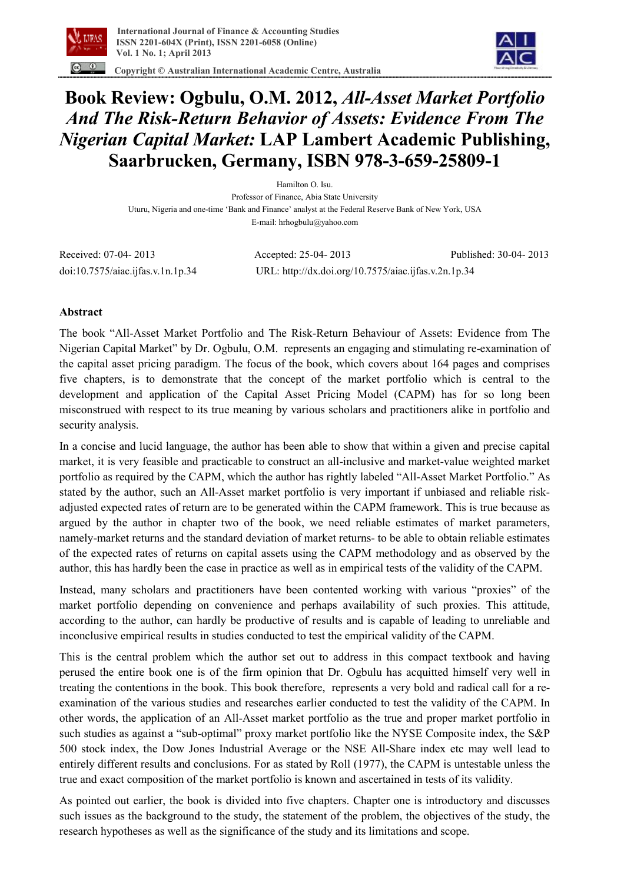

 **Copyright © Australian International Academic Centre, Australia** 



## **Book Review: Ogbulu, O.M. 2012,** *All-Asset Market Portfolio And The Risk-Return Behavior of Assets: Evidence From The Nigerian Capital Market:* **LAP Lambert Academic Publishing, Saarbrucken, Germany, ISBN 978-3-659-25809-1**

Hamilton O. Isu. Professor of Finance, Abia State University Uturu, Nigeria and one-time 'Bank and Finance' analyst at the Federal Reserve Bank of New York, USA E-mail: hrhogbulu@yahoo.com

Received: 07-04- 2013 Accepted: 25-04- 2013 Published: 30-04- 2013 doi:10.7575/aiac.ijfas.v.1n.1p.34 URL: http://dx.doi.org/10.7575/aiac.ijfas.v.2n.1p.34

## **Abstract**

The book "All-Asset Market Portfolio and The Risk-Return Behaviour of Assets: Evidence from The Nigerian Capital Market" by Dr. Ogbulu, O.M. represents an engaging and stimulating re-examination of the capital asset pricing paradigm. The focus of the book, which covers about 164 pages and comprises five chapters, is to demonstrate that the concept of the market portfolio which is central to the development and application of the Capital Asset Pricing Model (CAPM) has for so long been misconstrued with respect to its true meaning by various scholars and practitioners alike in portfolio and security analysis.

In a concise and lucid language, the author has been able to show that within a given and precise capital market, it is very feasible and practicable to construct an all-inclusive and market-value weighted market portfolio as required by the CAPM, which the author has rightly labeled "All-Asset Market Portfolio." As stated by the author, such an All-Asset market portfolio is very important if unbiased and reliable riskadjusted expected rates of return are to be generated within the CAPM framework. This is true because as argued by the author in chapter two of the book, we need reliable estimates of market parameters, namely-market returns and the standard deviation of market returns- to be able to obtain reliable estimates of the expected rates of returns on capital assets using the CAPM methodology and as observed by the author, this has hardly been the case in practice as well as in empirical tests of the validity of the CAPM.

Instead, many scholars and practitioners have been contented working with various "proxies" of the market portfolio depending on convenience and perhaps availability of such proxies. This attitude, according to the author, can hardly be productive of results and is capable of leading to unreliable and inconclusive empirical results in studies conducted to test the empirical validity of the CAPM.

This is the central problem which the author set out to address in this compact textbook and having perused the entire book one is of the firm opinion that Dr. Ogbulu has acquitted himself very well in treating the contentions in the book. This book therefore, represents a very bold and radical call for a reexamination of the various studies and researches earlier conducted to test the validity of the CAPM. In other words, the application of an All-Asset market portfolio as the true and proper market portfolio in such studies as against a "sub-optimal" proxy market portfolio like the NYSE Composite index, the S&P 500 stock index, the Dow Jones Industrial Average or the NSE All-Share index etc may well lead to entirely different results and conclusions. For as stated by Roll (1977), the CAPM is untestable unless the true and exact composition of the market portfolio is known and ascertained in tests of its validity.

As pointed out earlier, the book is divided into five chapters. Chapter one is introductory and discusses such issues as the background to the study, the statement of the problem, the objectives of the study, the research hypotheses as well as the significance of the study and its limitations and scope.